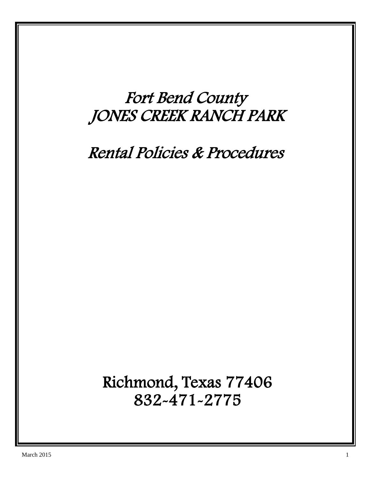# Fort Bend County JONES CREEK RANCH PARK

## Rental Policies & Procedures

 Richmond, Texas 77406 832-471-2775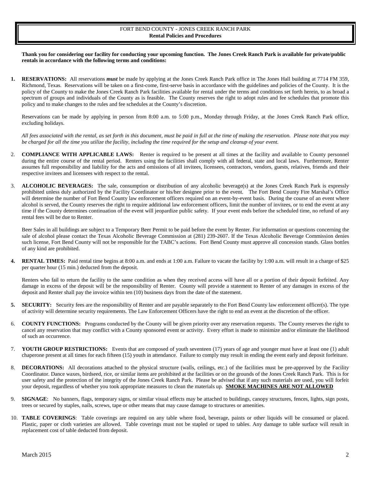### FORT BEND COUNTY - JONES CREEK RANCH PARK **Rental Policies and Procedures**

**Thank you for considering our facility for conducting your upcoming function. The Jones Creek Ranch Park is available for private/public rentals in accordance with the following terms and conditions:**

**1. RESERVATIONS:** All reservations *must* be made by applying at the Jones Creek Ranch Park office in The Jones Hall building at 7714 FM 359, Richmond, Texas. Reservations will be taken on a first-come, first-serve basis in accordance with the guidelines and policies of the County. It is the policy of the County to make the Jones Creek Ranch Park facilities available for rental under the terms and conditions set forth herein, to as broad a spectrum of groups and individuals of the County as is feasible. The County reserves the right to adopt rules and fee schedules that promote this policy and to make changes to the rules and fee schedules at the County's discretion.

Reservations can be made by applying in person from 8:00 a.m. to 5:00 p.m., Monday through Friday, at the Jones Creek Ranch Park office, excluding holidays.

*All fees associated with the rental, as set forth in this document, must be paid in full at the time of making the reservation. Please note that you may be charged for all the time you utilize the facility, including the time required for the setup and cleanup of your event.* 

- 2. **COMPLIANCE WITH APPLICABLE LAWS:** Renter is required to be present at all times at the facility and available to County personnel during the entire course of the rental period. Renters using the facilities shall comply with all federal, state and local laws. Furthermore, Renter assumes full responsibility and liability for the acts and omissions of all invitees, licensees, contractors, vendors, guests, relatives, friends and their respective invitees and licensees with respect to the rental.
- 3. **ALCOHOLIC BEVERAGES:** The sale, consumption or distribution of any alcoholic beverage(s) at the Jones Creek Ranch Park is expressly prohibited unless duly authorized by the Facility Coordinator or his/her designee prior to the event. The Fort Bend County Fire Marshal's Office will determine the number of Fort Bend County law enforcement officers required on an event-by-event basis. During the course of an event where alcohol is served, the County reserves the right to require additional law enforcement officers, limit the number of invitees, or to end the event at any time if the County determines continuation of the event will jeopardize public safety. If your event ends before the scheduled time, no refund of any rental fees will be due to Renter.

Beer Sales in all buildings are subject to a Temporary Beer Permit to be paid before the event by Renter. For information or questions concerning the sale of alcohol please contact the Texas Alcoholic Beverage Commission at (281) 239-2607. If the Texas Alcoholic Beverage Commission denies such license, Fort Bend County will not be responsible for the TABC's actions. Fort Bend County must approve all concession stands. Glass bottles of any kind are prohibited.

**4. RENTAL TIMES:** Paid rental time begins at 8:00 a.m. and ends at 1:00 a.m. Failure to vacate the facility by 1:00 a.m. will result in a charge of \$25 per quarter hour (15 min.) deducted from the deposit.

Renters who fail to return the facility to the same condition as when they received access will have all or a portion of their deposit forfeited. Any damage in excess of the deposit will be the responsibility of Renter. County will provide a statement to Renter of any damages in excess of the deposit and Renter shall pay the invoice within ten (10) business days from the date of the statement.

- 5. **SECURITY:** Security fees are the responsibility of Renter and are payable separately to the Fort Bend County law enforcement officer(s). The type of activity will determine security requirements. The Law Enforcement Officers have the right to end an event at the discretion of the officer.
- 6. **COUNTY FUNCTIONS:** Programs conducted by the County will be given priority over any reservation requests. The County reserves the right to cancel any reservation that may conflict with a County sponsored event or activity. Every effort is made to minimize and/or eliminate the likelihood of such an occurrence.
- 7. **YOUTH GROUP RESTRICTIONS:** Events that are composed of youth seventeen (17) years of age and younger must have at least one (1) adult chaperone present at all times for each fifteen (15) youth in attendance. Failure to comply may result in ending the event early and deposit forfeiture.
- 8. **DECORATIONS:** All decorations attached to the physical structure (walls, ceilings, etc.) of the facilities must be pre-approved by the Facility Coordinator. Dance waxes, birdseed, rice, or similar items are prohibited at the facilities or on the grounds of the Jones Creek Ranch Park. This is for user safety and the protection of the integrity of the Jones Creek Ranch Park. Please be advised that if any such materials are used, you will forfeit your deposit, regardless of whether you took appropriate measures to clean the materials up. **SMOKE MACHINES ARE NOT ALLOWED**
- 9. **SIGNAGE**: No banners, flags, temporary signs, or similar visual effects may be attached to buildings, canopy structures, fences, lights, sign posts, trees or secured by staples, nails, screws, tape or other means that may cause damage to structures or amenities.
- 10. **TABLE COVERINGS**: Table coverings are required on any table where food, beverage, paints or other liquids will be consumed or placed. Plastic, paper or cloth varieties are allowed. Table coverings must not be stapled or taped to tables. Any damage to table surface will result in replacement cost of table deducted from deposit.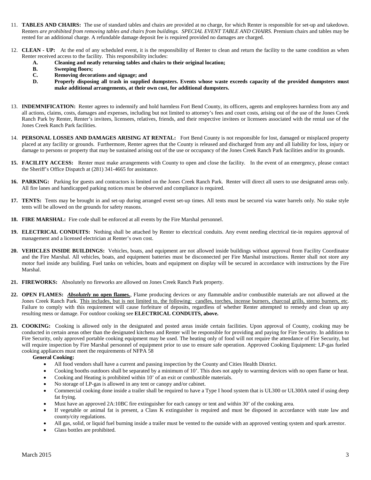- 11. **TABLES AND CHAIRS:** The use of standard tables and chairs are provided at no charge, for which Renter is responsible for set-up and takedown. Renters *are prohibited from removing tables and chairs from buildings. SPECIAL EVENT TABLE AND CHAIRS*. Premium chairs and tables may be rented for an additional charge. A refundable damage deposit fee is required provided no damages are charged.
- 12. **CLEAN - UP:** At the end of any scheduled event, it is the responsibility of Renter to clean and return the facility to the same condition as when Renter received access to the facility. This responsibility includes:
	- **A. Cleaning and neatly returning tables and chairs to their original location;**
	- **B. Sweeping floors;**
	- **C. Removing decorations and signage; and**
	- **D. Properly disposing all trash in supplied dumpsters. Events whose waste exceeds capacity of the provided dumpsters must make additional arrangements, at their own cost, for additional dumpsters.**
- 13. **INDEMNIFICATION:** Renter agrees to indemnify and hold harmless Fort Bend County, its officers, agents and employees harmless from any and all actions, claims, costs, damages and expenses, including but not limited to attorney's fees and court costs, arising out of the use of the Jones Creek Ranch Park by Renter, Renter's invitees, licensees, relatives, friends, and their respective invitees or licensees associated with the rental use of the Jones Creek Ranch Park facilities.
- 14. **PERSONAL LOSSES AND DAMAGES ARISING AT RENTAL:** Fort Bend County is not responsible for lost, damaged or misplaced property placed at any facility or grounds. Furthermore, Renter agrees that the County is released and discharged from any and all liability for loss, injury or damage to persons or property that may be sustained arising out of the use or occupancy of the Jones Creek Ranch Park facilities and/or its grounds.
- 15. **FACILITY ACCESS:** Renter must make arrangements with County to open and close the facility. In the event of an emergency, please contact the Sheriff's Office Dispatch at (281) 341-4665 for assistance.
- **16. PARKING:** Parking for guests and contractors is limited on the Jones Creek Ranch Park. Renter will direct all users to use designated areas only. All fire lanes and handicapped parking notices must be observed and compliance is required.
- **17. TENTS:** Tents may be brought in and set-up during arranged event set-up times. All tents must be secured via water barrels only. No stake style tents will be allowed on the grounds for safety reasons.
- **18. FIRE MARSHAL:** Fire code shall be enforced at all events by the Fire Marshal personnel.
- **19. ELECTRICAL CONDUITS:** Nothing shall be attached by Renter to electrical conduits. Any event needing electrical tie-in requires approval of management and a licensed electrician at Renter's own cost.
- **20. VEHICLES INSIDE BUILDINGS:** Vehicles, boats, and equipment are not allowed inside buildings without approval from Facility Coordinator and the Fire Marshal. All vehicles, boats, and equipment batteries must be disconnected per Fire Marshal instructions. Renter shall not store any motor fuel inside any building. Fuel tanks on vehicles, boats and equipment on display will be secured in accordance with instructions by the Fire Marshal.
- **21. FIREWORKS:** Absolutely no fireworks are allowed on Jones Creek Ranch Park property.
- **22. OPEN FLAMES:** *Absolutely* **no open flames.**, Flame producing devices or any flammable and/or combustible materials are not allowed at the Jones Creek Ranch Park. This includes, but is not limited to, the following: candles, torches, incense burners, charcoal grills, sterno burners, etc. Failure to comply with this requirement will cause forfeiture of deposits, regardless of whether Renter attempted to remedy and clean up any resulting mess or damage. For outdoor cooking see **ELECTRICAL CONDUITS, above.**
- 23. **COOKING:** Cooking is allowed only in the designated and posted areas inside certain facilities. Upon approval of County, cooking may be conducted in certain areas other than the designated kitchens and Renter will be responsible for providing and paying for Fire Security. In addition to Fire Security, only approved portable cooking equipment may be used. The heating only of food will not require the attendance of Fire Security, but will require inspection by Fire Marshal personnel of equipment prior to use to ensure safe operation. Approved Cooking Equipment: LP-gas fueled cooking appliances must meet the requirements of NFPA 58

#### **General Cooking:**

- All food vendors shall have a current and passing inspection by the County and Cities Health District.
- Cooking booths outdoors shall be separated by a minimum of 10'. This does not apply to warming devices with no open flame or heat.
- Cooking and Heating is prohibited within 10' of an exit or combustible materials.
- No storage of LP-gas is allowed in any tent or canopy and/or cabinet.
- Commercial cooking done inside a trailer shall be required to have a Type I hood system that is UL300 or UL300A rated if using deep fat frying.
- Must have an approved 2A:10BC fire extinguisher for each canopy or tent and within 30' of the cooking area.
- If vegetable or animal fat is present, a Class K extinguisher is required and must be disposed in accordance with state law and county/city regulations.
- All gas, solid, or liquid fuel burning inside a trailer must be vented to the outside with an approved venting system and spark arrestor.
- Glass bottles are prohibited.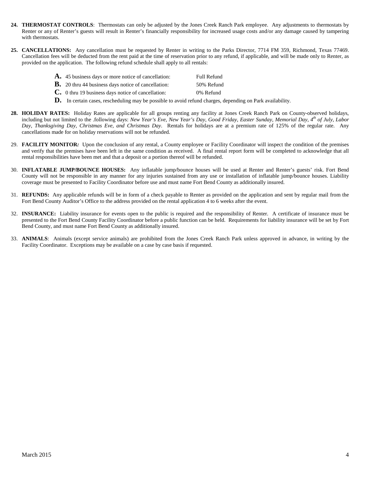- **24. THERMOSTAT CONTROLS**: Thermostats can only be adjusted by the Jones Creek Ranch Park employee. Any adjustments to thermostats by Renter or any of Renter's guests will result in Renter's financially responsibility for increased usage costs and/or any damage caused by tampering with thermostats
- **25. CANCELLATIONS:** Any cancellation must be requested by Renter in writing to the Parks Director, 7714 FM 359, Richmond, Texas 77469. Cancellation fees will be deducted from the rent paid at the time of reservation prior to any refund, if applicable, and will be made only to Renter, as provided on the application. The following refund schedule shall apply to all rentals:

|  | <b>A.</b> 45 business days or more notice of cancellation: | Full Refund |
|--|------------------------------------------------------------|-------------|
|--|------------------------------------------------------------|-------------|

- **B.** 20 thru 44 business days notice of cancellation: 50% Refund
- **C.** 0 thru 19 business days notice of cancellation: 0% Refund
- **D.** In certain cases, rescheduling may be possible to avoid refund charges, depending on Park availability.
- **28. HOLIDAY RATES:** Holiday Rates are applicable for all groups renting any facility at Jones Creek Ranch Park on County-observed holidays, including but not limited to the .following days: *New Year's Eve, New Year's Day, Good Friday, Easter Sunday, Memorial Day, 4th of July, Labor Day, Thanksgiving Day, Christmas Eve, and Christmas Day*. Rentals for holidays are at a premium rate of 125% of the regular rate. Any cancellations made for on holiday reservations will not be refunded.
- 29. **FACILITY MONITOR***:* Upon the conclusion of any rental, a County employee or Facility Coordinator will inspect the condition of the premises and verify that the premises have been left in the same condition as received. A final rental report form will be completed to acknowledge that all rental responsibilities have been met and that a deposit or a portion thereof will be refunded.
- 30. **INFLATABLE JUMP/BOUNCE HOUSES:** Any inflatable jump/bounce houses will be used at Renter and Renter's guests' risk. Fort Bend County will not be responsible in any manner for any injuries sustained from any use or installation of inflatable jump/bounce houses. Liability coverage must be presented to Facility Coordinator before use and must name Fort Bend County as additionally insured.
- 31. **REFUNDS:** Any applicable refunds will be in form of a check payable to Renter as provided on the application and sent by regular mail from the Fort Bend County Auditor's Office to the address provided on the rental application 4 to 6 weeks after the event.
- 32. **INSURANCE:** Liability insurance for events open to the public is required and the responsibility of Renter. A certificate of insurance must be presented to the Fort Bend County Facility Coordinator before a public function can be held. Requirements for liability insurance will be set by Fort Bend County, and must name Fort Bend County as additionally insured.
- 33. **ANIMALS**: Animals (except service animals) are prohibited from the Jones Creek Ranch Park unless approved in advance, in writing by the Facility Coordinator. Exceptions may be available on a case by case basis if requested.